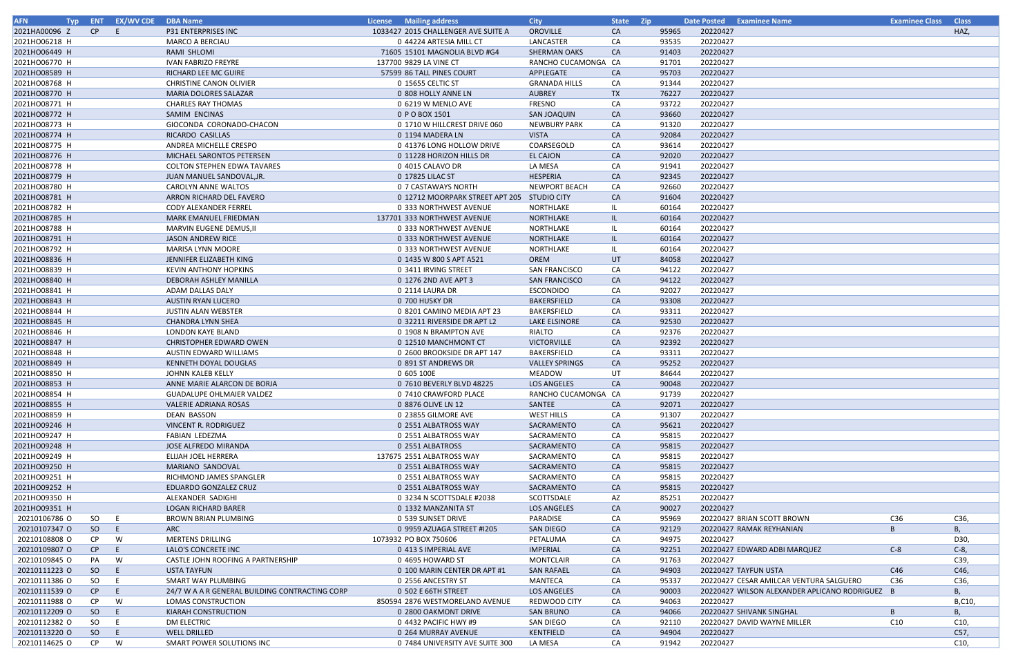| <b>AFN</b>    |     | Typ ENT EX/WV CDE DBA Name |                                                | <b>License</b> Mailing address              | <b>City</b>           | State Zip |       | Date Posted Examinee Name                      | <b>Examinee Class Class</b> |         |
|---------------|-----|----------------------------|------------------------------------------------|---------------------------------------------|-----------------------|-----------|-------|------------------------------------------------|-----------------------------|---------|
| 2021HA00096 Z | CP  | $-E$                       | P31 ENTERPRISES INC                            | 1033427 2015 CHALLENGER AVE SUITE A         | OROVILLE              | CA        | 95965 | 20220427                                       |                             | HAZ,    |
| 2021HO06218 H |     |                            | <b>MARCO A BERCIAU</b>                         | 0 44224 ARTESIA MILL CT                     | LANCASTER             | CA        | 93535 | 20220427                                       |                             |         |
| 2021HO06449 H |     |                            | RAMI SHLOMI                                    | 71605 15101 MAGNOLIA BLVD #G4               | <b>SHERMAN OAKS</b>   | CA        | 91403 | 20220427                                       |                             |         |
| 2021HO06770 H |     |                            | <b>IVAN FABRIZO FREYRE</b>                     | 137700 9829 LA VINE CT                      | RANCHO CUCAMONGA CA   |           | 91701 | 20220427                                       |                             |         |
| 2021HO08589 H |     |                            | RICHARD LEE MC GUIRE                           | 57599 86 TALL PINES COURT                   | APPLEGATE             | CA        | 95703 | 20220427                                       |                             |         |
| 2021HO08768 H |     |                            | <b>CHRISTINE CANON OLIVIER</b>                 | 0 15655 CELTIC ST                           | <b>GRANADA HILLS</b>  | CA        | 91344 | 20220427                                       |                             |         |
| 2021HO08770 H |     |                            | MARIA DOLORES SALAZAR                          | 0 808 HOLLY ANNE LN                         | <b>AUBREY</b>         | TX        | 76227 | 20220427                                       |                             |         |
| 2021HO08771 H |     |                            | CHARLES RAY THOMAS                             | 0 6219 W MENLO AVE                          | FRESNO                | CA        | 93722 | 20220427                                       |                             |         |
| 2021HO08772 H |     |                            | SAMIM ENCINAS                                  | 0 P O BOX 1501                              | SAN JOAQUIN           | CA        | 93660 | 20220427                                       |                             |         |
| 2021HO08773 H |     |                            | GIOCONDA CORONADO-CHACON                       | 0 1710 W HILLCREST DRIVE 060                | <b>NEWBURY PARK</b>   | CA        | 91320 | 20220427                                       |                             |         |
| 2021HO08774 H |     |                            | RICARDO CASILLAS                               | 0 1194 MADERA LN                            | <b>VISTA</b>          | <b>CA</b> | 92084 | 20220427                                       |                             |         |
| 2021HO08775 H |     |                            | ANDREA MICHELLE CRESPO                         | 0 41376 LONG HOLLOW DRIVE                   | COARSEGOLD            | CA        | 93614 | 20220427                                       |                             |         |
| 2021HO08776 H |     |                            | MICHAEL SARONTOS PETERSEN                      | 0 11228 HORIZON HILLS DR                    | <b>EL CAJON</b>       | <b>CA</b> | 92020 | 20220427                                       |                             |         |
| 2021HO08778 H |     |                            | <b>COLTON STEPHEN EDWA TAVARES</b>             | 0 4015 CALAVO DR                            | LA MESA               | CA        | 91941 | 20220427                                       |                             |         |
| 2021HO08779 H |     |                            | JUAN MANUEL SANDOVAL, JR.                      | 0 17825 LILAC ST                            | HESPERIA              | CA        | 92345 | 20220427                                       |                             |         |
| 2021HO08780 H |     |                            | CAROLYN ANNE WALTOS                            | 0 7 CASTAWAYS NORTH                         | <b>NEWPORT BEACH</b>  | CA        | 92660 | 20220427                                       |                             |         |
|               |     |                            |                                                |                                             |                       |           |       |                                                |                             |         |
| 2021HO08781 H |     |                            | ARRON RICHARD DEL FAVERO                       | 0 12712 MOORPARK STREET APT 205 STUDIO CITY |                       | CA        | 91604 | 20220427                                       |                             |         |
| 2021HO08782 H |     |                            | <b>CODY ALEXANDER FERREL</b>                   | 0 333 NORTHWEST AVENUE                      | NORTHLAKE             | -IL       | 60164 | 20220427                                       |                             |         |
| 2021HO08785 H |     |                            | MARK EMANUEL FRIEDMAN                          | 137701 333 NORTHWEST AVENUE                 | NORTHLAKE             | -IL       | 60164 | 20220427                                       |                             |         |
| 2021HO08788 H |     |                            | MARVIN EUGENE DEMUS, II                        | 0 333 NORTHWEST AVENUE                      | NORTHLAKE             | - IL      | 60164 | 20220427                                       |                             |         |
| 2021HO08791 H |     |                            | <b>JASON ANDREW RICE</b>                       | 0 333 NORTHWEST AVENUE                      | NORTHLAKE             | -IL       | 60164 | 20220427                                       |                             |         |
| 2021HO08792 H |     |                            | <b>MARISA LYNN MOORE</b>                       | 0 333 NORTHWEST AVENUE                      | NORTHLAKE             | -IL       | 60164 | 20220427                                       |                             |         |
| 2021HO08836 H |     |                            | JENNIFER ELIZABETH KING                        | 0 1435 W 800 S APT A521                     | OREM                  | UT        | 84058 | 20220427                                       |                             |         |
| 2021HO08839 H |     |                            | <b>KEVIN ANTHONY HOPKINS</b>                   | 0 3411 IRVING STREET                        | <b>SAN FRANCISCO</b>  | CA        | 94122 | 20220427                                       |                             |         |
| 2021HO08840 H |     |                            | DEBORAH ASHLEY MANILLA                         | 0 1276 2ND AVE APT 3                        | SAN FRANCISCO         | CA        | 94122 | 20220427                                       |                             |         |
| 2021HO08841 H |     |                            | ADAM DALLAS DALY                               | 0 2114 LAURA DR                             | ESCONDIDO             | CA        | 92027 | 20220427                                       |                             |         |
| 2021HO08843 H |     |                            | <b>AUSTIN RYAN LUCERO</b>                      | 0 700 HUSKY DR                              | BAKERSFIELD           | CA        | 93308 | 20220427                                       |                             |         |
| 2021HO08844 H |     |                            | <b>JUSTIN ALAN WEBSTER</b>                     | 0 8201 CAMINO MEDIA APT 23                  | BAKERSFIELD           | CA        | 93311 | 20220427                                       |                             |         |
| 2021HO08845 H |     |                            | <b>CHANDRA LYNN SHEA</b>                       | 0 32211 RIVERSIDE DR APT L2                 | LAKE ELSINORE         | CA        | 92530 | 20220427                                       |                             |         |
| 2021HO08846 H |     |                            | LONDON KAYE BLAND                              | 0 1908 N BRAMPTON AVE                       | RIALTO                | CA        | 92376 | 20220427                                       |                             |         |
| 2021HO08847 H |     |                            | CHRISTOPHER EDWARD OWEN                        | 0 12510 MANCHMONT CT                        | <b>VICTORVILLE</b>    | CA        | 92392 | 20220427                                       |                             |         |
| 2021HO08848 H |     |                            | AUSTIN EDWARD WILLIAMS                         | 0 2600 BROOKSIDE DR APT 147                 | BAKERSFIELD           | CA        | 93311 | 20220427                                       |                             |         |
| 2021HO08849 H |     |                            | KENNETH DOYAL DOUGLAS                          | 0 891 ST ANDREWS DR                         | <b>VALLEY SPRINGS</b> | CA        | 95252 | 20220427                                       |                             |         |
| 2021HO08850 H |     |                            | JOHNN KALEB KELLY                              | 0 605 100E                                  | MEADOW                | UT        | 84644 | 20220427                                       |                             |         |
| 2021HO08853 H |     |                            | ANNE MARIE ALARCON DE BORJA                    | 0 7610 BEVERLY BLVD 48225                   | <b>LOS ANGELES</b>    | <b>CA</b> | 90048 | 20220427                                       |                             |         |
| 2021HO08854 H |     |                            | <b>GUADALUPE OHLMAIER VALDEZ</b>               | 0 7410 CRAWFORD PLACE                       | RANCHO CUCAMONGA CA   |           | 91739 | 20220427                                       |                             |         |
| 2021HO08855 H |     |                            | VALERIE ADRIANA ROSAS                          | 0 8876 OLIVE LN 12                          | SANTEE                | <b>CA</b> | 92071 | 20220427                                       |                             |         |
| 2021HO08859 H |     |                            | DEAN BASSON                                    | 0 23855 GILMORE AVE                         | WEST HILLS            | CA        | 91307 | 20220427                                       |                             |         |
| 2021HO09246 H |     |                            | VINCENT R. RODRIGUEZ                           | 0 2551 ALBATROSS WAY                        | SACRAMENTO            | CA        | 95621 | 20220427                                       |                             |         |
| 2021HO09247 H |     |                            | FABIAN LEDEZMA                                 | 0 2551 ALBATROSS WAY                        | SACRAMENTO            | CA        | 95815 | 20220427                                       |                             |         |
| 2021HO09248 H |     |                            | <b>JOSE ALFREDO MIRANDA</b>                    | 0 2551 ALBATROSS                            | SACRAMENTO            | CA        | 95815 | 20220427                                       |                             |         |
| 2021HO09249 H |     |                            | <b>ELIJAH JOEL HERRERA</b>                     | 137675 2551 ALBATROSS WAY                   | SACRAMENTO            | CA        | 95815 | 20220427                                       |                             |         |
| 2021HO09250 H |     |                            | MARIANO SANDOVAL                               | 0 2551 ALBATROSS WAY                        | SACRAMENTO            | CA        | 95815 | 20220427                                       |                             |         |
| 2021HO09251 H |     |                            | RICHMOND JAMES SPANGLER                        |                                             |                       |           |       |                                                |                             |         |
|               |     |                            |                                                | 0 2551 ALBATROSS WAY                        | SACRAMENTO            | CA        | 95815 | 20220427                                       |                             |         |
| 2021HO09252 H |     |                            | EDUARDO GONZALEZ CRUZ                          | 0 2551 ALBATROSS WAY                        | SACRAMENTO            | CA        | 95815 | 20220427                                       |                             |         |
| 2021HO09350 H |     |                            | ALEXANDER SADIGHI                              | 0 3234 N SCOTTSDALE #2038                   | SCOTTSDALE            | AZ        | 85251 | 20220427                                       |                             |         |
| 2021HO09351 H |     |                            | <b>LOGAN RICHARD BARER</b>                     | 0 1332 MANZANITA ST                         | LOS ANGELES           | CA        | 90027 | 20220427                                       |                             |         |
| 20210106786 O | SO  | E                          | BROWN BRIAN PLUMBING                           | 0 539 SUNSET DRIVE                          | PARADISE              | CA        | 95969 | 20220427 BRIAN SCOTT BROWN                     | C36                         | C36,    |
| 20210107347 O | SO  | E.                         | ARC                                            | 0 9959 AZUAGA STREET #1205                  | SAN DIEGO             | CA        | 92129 | 20220427 RAMAK REYHANIAN                       | B                           | В,      |
| 20210108808 O | CP. | W                          | MERTENS DRILLING                               | 1073932 PO BOX 750606                       | PETALUMA              | CA        | 94975 | 20220427                                       |                             | D30,    |
| 20210109807 O | CP  | E.                         | LALO'S CONCRETE INC                            | 0 413 S IMPERIAL AVE                        | <b>IMPERIAL</b>       | CA        | 92251 | 20220427 EDWARD ADBI MARQUEZ                   | $C-8$                       | $C-8$ , |
| 20210109845 O | PA  | W                          | CASTLE JOHN ROOFING A PARTNERSHIP              | 0 4695 HOWARD ST                            | <b>MONTCLAIR</b>      | CA        | 91763 | 20220427                                       |                             | C39,    |
| 20210111223 O | SO  |                            | <b>USTA TAYFUN</b>                             | 0 100 MARIN CENTER DR APT #1                | <b>SAN RAFAEL</b>     | CA        | 94903 | 20220427 TAYFUN USTA                           | C46                         | C46,    |
| 20210111386 O | SO  |                            | SMART WAY PLUMBING                             | 0 2556 ANCESTRY ST                          | MANTECA               | CA        | 95337 | 20220427 CESAR AMILCAR VENTURA SALGUERO        | C36                         | C36,    |
| 20210111539 O | CP  | E.                         | 24/7 W A A R GENERAL BUILDING CONTRACTING CORP | 0 502 E 66TH STREET                         | LOS ANGELES           | CA        | 90003 | 20220427 WILSON ALEXANDER APLICANO RODRIGUEZ B |                             | В,      |
| 20210111988 O | CP  | W                          | LOMAS CONSTRUCTION                             | 850594 2876 WESTMORELAND AVENUE             | REDWOOD CITY          | CA        | 94063 | 20220427                                       |                             | B,C10   |
| 20210112209 O | SO  | E.                         | KIARAH CONSTRUCTION                            | 0 2800 OAKMONT DRIVE                        | <b>SAN BRUNO</b>      | CA        | 94066 | 20220427 SHIVANK SINGHAL                       | $\mathsf{B}$                | В,      |
| 20210112382 O | SO  | E.                         | DM ELECTRIC                                    | 0 4432 PACIFIC HWY #9                       | SAN DIEGO             | CA        | 92110 | 20220427 DAVID WAYNE MILLER                    | C10                         | C10,    |
| 20210113220 O | SO  | E.                         | <b>WELL DRILLED</b>                            | 0 264 MURRAY AVENUE                         | KENTFIELD             | CA        | 94904 | 20220427                                       |                             | C57,    |
| 20210114625 O | CP  | W                          | SMART POWER SOLUTIONS INC                      | 0 7484 UNIVERSITY AVE SUITE 300             | LA MESA               | CA        | 91942 | 20220427                                       |                             | C10,    |

| lee Name                              | <b>Examinee Class</b> | <b>Class</b> |
|---------------------------------------|-----------------------|--------------|
|                                       |                       | HAZ,         |
|                                       |                       |              |
|                                       |                       |              |
|                                       |                       |              |
|                                       |                       |              |
|                                       |                       |              |
|                                       |                       |              |
|                                       |                       |              |
|                                       |                       |              |
|                                       |                       |              |
|                                       |                       |              |
|                                       |                       |              |
|                                       |                       |              |
|                                       |                       |              |
|                                       |                       |              |
|                                       |                       |              |
|                                       |                       |              |
|                                       |                       |              |
|                                       |                       |              |
|                                       |                       |              |
|                                       |                       |              |
|                                       |                       |              |
|                                       |                       |              |
|                                       |                       |              |
|                                       |                       |              |
|                                       |                       |              |
|                                       |                       |              |
|                                       |                       |              |
|                                       |                       |              |
|                                       |                       |              |
|                                       |                       |              |
|                                       |                       |              |
|                                       |                       |              |
|                                       |                       |              |
|                                       |                       |              |
|                                       |                       |              |
|                                       |                       |              |
|                                       |                       |              |
|                                       |                       |              |
|                                       |                       |              |
|                                       |                       |              |
|                                       |                       |              |
|                                       |                       |              |
|                                       |                       |              |
|                                       |                       |              |
|                                       |                       |              |
|                                       |                       |              |
|                                       |                       |              |
|                                       |                       |              |
|                                       |                       |              |
|                                       |                       |              |
|                                       |                       |              |
| SCOTT BROWN                           | C36                   | C36,         |
| <b>REYHANIAN</b>                      | B                     | В,           |
|                                       |                       | D30,         |
| D ADBI MARQUEZ                        | $C-8$                 | $C-8$ ,      |
|                                       |                       | C39,         |
| <b>VUSTA</b>                          | C46                   | C46,         |
| AMILCAR VENTURA SALGUERO              | C36                   | C36,         |
| <b>N ALEXANDER APLICANO RODRIGUEZ</b> |                       |              |
|                                       | B                     | В,           |
|                                       |                       | B,C10,       |
| IK SINGHAL                            | B                     | В,           |
| WAYNE MILLER                          | C10                   | C10,         |
|                                       |                       | C57,         |
|                                       |                       | C10,         |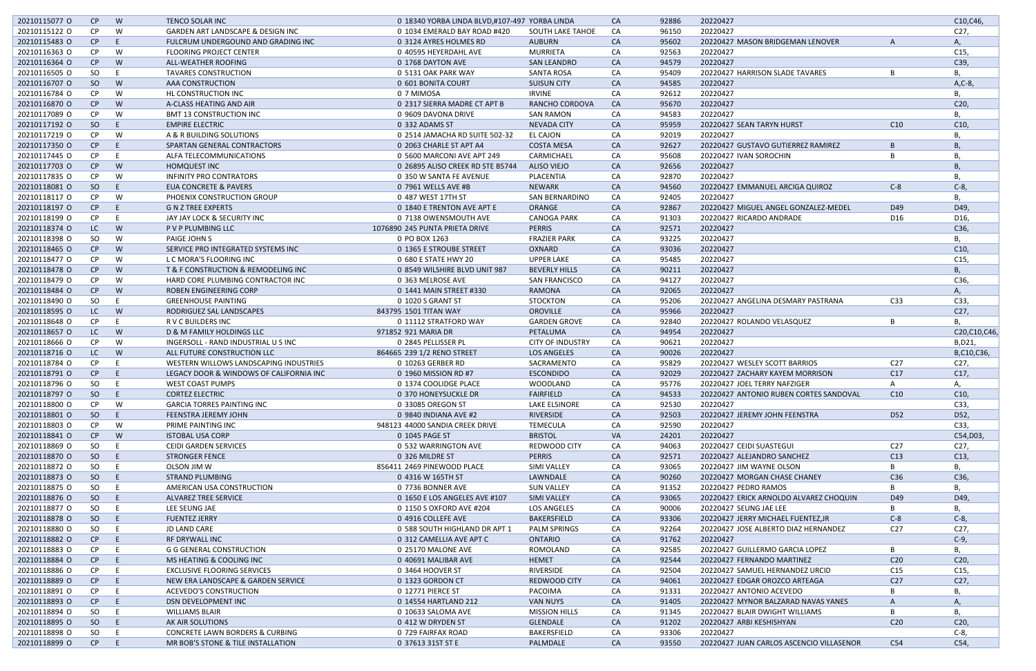| 20210115077 O                  | CP.          | W   | <b>TENCO SOLAR INC</b>                                                | 0 18340 YORBA LINDA BLVD,#107-497 YORBA LINDA |                                | <b>CA</b> | 92886          | 20220427                                             |                 | C10, C46,       |
|--------------------------------|--------------|-----|-----------------------------------------------------------------------|-----------------------------------------------|--------------------------------|-----------|----------------|------------------------------------------------------|-----------------|-----------------|
| 20210115122 0                  | <b>CP</b>    | W   | GARDEN ART LANDSCAPE & DESIGN INC                                     | 0 1034 EMERALD BAY ROAD #420                  | <b>SOUTH LAKE TAHOE</b>        | CA        | 96150          | 20220427                                             |                 | C <sub>27</sub> |
| 20210115483 O                  | CP           | F   | FULCRUM UNDERGOUND AND GRADING INC                                    | 0 3124 AYRES HOLMES RD                        | <b>AUBURN</b>                  | CA        | 95602          | 20220427 MASON BRIDGEMAN LENOVER                     |                 | А.              |
| 20210116363 O                  | <b>CP</b>    | W   | <b>FLOORING PROJECT CENTER</b>                                        | 0 40595 HEYERDAHL AVE                         | <b>MURRIETA</b>                | CA        | 92563          | 20220427                                             |                 | C <sub>15</sub> |
| 20210116364 O                  | CP           | W   | ALL-WEATHER ROOFING                                                   | 0 1768 DAYTON AVE                             | <b>SAN LEANDRO</b>             | <b>CA</b> | 94579          | 20220427                                             |                 | C39,            |
| 20210116505 O                  | SO           | E   | <b>TAVARES CONSTRUCTION</b>                                           | 0 5131 OAK PARK WAY                           | <b>SANTA ROSA</b>              | CA        | 95409          | 20220427 HARRISON SLADE TAVARES                      | B               | Β,              |
| 20210116707 O                  | SO           | W   | AAA CONSTRUCTION                                                      | 0 601 BONITA COURT                            | <b>SUISUN CITY</b>             | <b>CA</b> | 94585          | 20220427                                             |                 | A,C-8,          |
| 20210116784 O                  | <b>CP</b>    | W   | HL CONSTRUCTION INC                                                   | 0 7 MIMOSA                                    | <b>IRVINE</b>                  | CA        | 92612          | 20220427                                             |                 | В.              |
| 20210116870 O                  | CP           | W   | A-CLASS HEATING AND AIR                                               | 0 2317 SIERRA MADRE CT APT B                  | RANCHO CORDOVA                 | <b>CA</b> | 95670          | 20220427                                             |                 | C <sub>20</sub> |
| 20210117089 O                  | <b>CP</b>    | W   | <b>BMT 13 CONSTRUCTION INC</b>                                        | 0 9609 DAVONA DRIVE                           | <b>SAN RAMON</b>               | CA        | 94583          | 20220427                                             |                 | В.              |
| 20210117192 O                  | SO           | E   | <b>EMPIRE ELECTRIC</b>                                                | 0 332 ADAMS ST                                | <b>NEVADA CITY</b>             | <b>CA</b> | 95959          | 20220427 SEAN TARYN HURST                            | C10             | C10             |
|                                |              |     |                                                                       |                                               |                                |           |                |                                                      |                 |                 |
| 20210117219 O                  | <b>CP</b>    | W   | A & R BUILDING SOLUTIONS                                              | 0 2514 JAMACHA RD SUITE 502-32                | <b>EL CAJON</b>                | CA        | 92019          | 20220427                                             |                 | B               |
| 20210117350 O                  | CP           | -E  | SPARTAN GENERAL CONTRACTORS                                           | 0 2063 CHARLE ST APT A4                       | <b>COSTA MESA</b>              | <b>CA</b> | 92627          | 20220427 GUSTAVO GUTIERREZ RAMIREZ                   | $\overline{B}$  | B               |
| 20210117445 O                  | <b>CP</b>    | -E  | ALFA TELECOMMUNICATIONS                                               | 0 5600 MARCONI AVE APT 249                    | CARMICHAEL                     | CA        | 95608          | 20220427 IVAN SOROCHIN                               |                 | В.              |
| 20210117703 O                  | CP           | W   | <b>HOMQUEST INC</b>                                                   | 0 26895 ALISO CREEK RD STE B5744              | <b>ALISO VIEJO</b>             | <b>CA</b> | 92656          | 20220427                                             |                 | B               |
| 20210117835 O                  | <b>CP</b>    | W   | <b>INFINITY PRO CONTRATORS</b>                                        | 0 350 W SANTA FE AVENUE                       | PLACENTIA                      | CA        | 92870          | 20220427                                             |                 | В.              |
| 20210118081 O                  | SO           | -E  | <b>EUA CONCRETE &amp; PAVERS</b>                                      | 0 7961 WELLS AVE #B                           | <b>NEWARK</b>                  | CA        | 94560          | 20220427 EMMANUEL ARCIGA QUIROZ                      | $C-8$           | $C-8$ ,         |
| 20210118117 O                  | <b>CP</b>    | W   | PHOENIX CONSTRUCTION GROUP                                            | 0 487 WEST 17TH ST                            | <b>SAN BERNARDINO</b>          | CA        | 92405          | 20220427                                             |                 | B               |
| 20210118197 O                  | CP           | -E  | <b>G N Z TREE EXPERTS</b>                                             | 0 1840 E TRENTON AVE APT E                    | ORANGE                         | <b>CA</b> | 92867          | 20220427 MIGUEL ANGEL GONZALEZ-MEDEL                 | D49             | D49,            |
| 20210118199 O                  | CP.          | E   | JAY JAY LOCK & SECURITY INC                                           | 0 7138 OWENSMOUTH AVE                         | <b>CANOGA PARK</b>             | CA        | 91303          | 20220427 RICARDO ANDRADE                             | D16             | D16,            |
| 20210118374 O                  | LC.          | W   | P V P PLUMBING LLC                                                    | 1076890 245 PUNTA PRIETA DRIVE                | <b>PERRIS</b>                  | CA        | 92571          | 20220427                                             |                 | C36,            |
| 20210118398 O                  | SO.          | W   | PAIGE JOHN S                                                          | 0 PO BOX 1263                                 | <b>FRAZIER PARK</b>            | CA        | 93225          | 20220427                                             |                 | В,              |
|                                |              |     | SERVICE PRO INTEGRATED SYSTEMS INC                                    |                                               |                                |           | 93036          |                                                      |                 |                 |
| 20210118465 O                  | CP           | W   |                                                                       | 0 1365 E STROUBE STREET                       | OXNARD                         | CA        |                | 20220427                                             |                 | C10             |
| 20210118477 O                  | <b>CP</b>    | W   | L C MORA'S FLOORING INC                                               | 0 680 E STATE HWY 20                          | <b>UPPER LAKE</b>              | CA        | 95485          | 20220427                                             |                 | C15,            |
| 20210118478 O                  | CP           | W   | T & F CONSTRUCTION & REMODELING INC                                   | 0 8549 WILSHIRE BLVD UNIT 987                 | <b>BEVERLY HILLS</b>           | <b>CA</b> | 90211          | 20220427                                             |                 | B               |
| 20210118479 O                  | <b>CP</b>    | W   | HARD CORE PLUMBING CONTRACTOR INC                                     | 0 363 MELROSE AVE                             | <b>SAN FRANCISCO</b>           | CA        | 94127          | 20220427                                             |                 | C36,            |
| 20210118484 O                  | CP           | W   | ROBEN ENGINEERING CORP                                                | 0 1441 MAIN STREET #330                       | <b>RAMONA</b>                  | <b>CA</b> | 92065          | 20220427                                             |                 | А,              |
| 20210118490 O                  | SO.          | - E | <b>GREENHOUSE PAINTING</b>                                            | 0 1020 S GRANT ST                             | <b>STOCKTON</b>                | CA        | 95206          | 20220427 ANGELINA DESMARY PASTRANA                   | C33             | C33,            |
| 20210118595 O                  | LC.          | W   | RODRIGUEZ SAL LANDSCAPES                                              | 843795 1501 TITAN WAY                         | <b>OROVILLE</b>                | CA        | 95966          | 20220427                                             |                 | C27,            |
| 20210118648 O                  | <b>CP</b>    | E   | R V C BUILDERS INC                                                    | 0 11112 STRATFORD WAY                         | <b>GARDEN GROVE</b>            | CA        | 92840          | 20220427 ROLANDO VELASQUEZ                           | B.              | B               |
| 20210118657 O                  | LC.          | W   | D & M FAMILY HOLDINGS LLC                                             | 971852 921 MARIA DR                           | PETALUMA                       | <b>CA</b> | 94954          | 20220427                                             |                 | C20, C10, C46,  |
| 20210118666 O                  | CP           | W   | INGERSOLL - RAND INDUSTRIAL U S INC                                   | 0 2845 PELLISSER PL                           | <b>CITY OF INDUSTRY</b>        | CA        | 90621          | 20220427                                             |                 | B, D21,         |
| 20210118716 O                  | LC           | W   | ALL FUTURE CONSTRUCTION LLC                                           | 864665 239 1/2 RENO STREET                    | <b>LOS ANGELES</b>             | <b>CA</b> | 90026          | 20220427                                             |                 | B,C10,C36,      |
| 20210118784 O                  | <b>CP</b>    | E   | WESTERN WILLOWS LANDSCAPING INDUSTRIES                                | 0 10263 GERBER RD                             | SACRAMENTO                     | CA        | 95829          | 20220427 WESLEY SCOTT BARRIOS                        | C <sub>27</sub> | C27,            |
|                                |              |     |                                                                       |                                               |                                |           |                |                                                      |                 |                 |
| 20210118791 O                  | CP           | -E  | LEGACY DOOR & WINDOWS OF CALIFORNIA INC                               | 0 1960 MISSION RD #7                          | <b>ESCONDIDO</b>               | <b>CA</b> | 92029          | 20220427 ZACHARY KAYEM MORRISON                      | C17             | C17,            |
| 20210118796 O                  | SO           | E.  | <b>WEST COAST PUMPS</b>                                               | 0 1374 COOLIDGE PLACE                         | <b>WOODLAND</b>                | CA        | 95776          | 20220427 JOEL TERRY NAFZIGER                         | A               | А,              |
| 20210118797 O                  | SO           | -E  | <b>CORTEZ ELECTRIC</b>                                                | 0 370 HONEYSUCKLE DR                          | <b>FAIRFIELD</b>               | CA        | 94533          | 20220427 ANTONIO RUBEN CORTES SANDOVAL               | C10             | C <sub>10</sub> |
| 20210118800 O                  | <b>CP</b>    | W   | <b>GARCIA TORRES PAINTING INC</b>                                     | 0 33085 OREGON ST                             | <b>LAKE ELSINORE</b>           | CA        | 92530          | 20220427                                             |                 | C33,            |
| 20210118801 O                  | SO           | E.  | FEENSTRA JEREMY JOHN                                                  | 0 9840 INDIANA AVE #2                         | RIVERSIDE                      | <b>CA</b> | 92503          | 20220427 JEREMY JOHN FEENSTRA                        | D <sub>52</sub> | D52,            |
| 20210118803 O                  | <b>CP</b>    | W   | PRIME PAINTING INC                                                    | 948123 44000 SANDIA CREEK DRIVE               | <b>TEMECULA</b>                | CA        | 92590          | 20220427                                             |                 | C33,            |
| 20210118841 O                  | CP           | W   | <b>ISTOBAL USA CORP</b>                                               | 0 1045 PAGE ST                                | <b>BRISTOL</b>                 | <b>VA</b> | 24201          | 20220427                                             |                 | C54, D03,       |
| 20210118869 O                  | SO.          | E.  | <b>CEIDI GARDEN SERVICES</b>                                          | 0 532 WARRINGTON AVE                          | REDWOOD CITY                   | CA        | 94063          | 20220427 CEIDI SUASTEGUI                             | C27             | C27,            |
| 20210118870 O                  | SO           | E.  | <b>STRONGER FENCE</b>                                                 | 0 326 MILDRE ST                               | <b>PERRIS</b>                  | <b>CA</b> | 92571          | 20220427 ALEJANDRO SANCHEZ                           | C13             | C13,            |
| 20210118872 0                  | SO.          | E   | OLSON JIM W                                                           | 856411 2469 PINEWOOD PLACE                    | SIMI VALLEY                    | CA        | 93065          | 20220427 JIM WAYNE OLSON                             | B.              | В,              |
| 20210118873 O                  | SO           | -E. | STRAND PLUMBING                                                       | 0 4316 W 165TH ST                             | LAWNDALE                       | <b>CA</b> | 90260          | 20220427 MORGAN CHASE CHANEY                         | C36             | C36,            |
| 20210118875 O                  | SO.          | E.  | AMERICAN USA CONSTRUCTION                                             | 0 7736 BONNER AVE                             | <b>SUN VALLEY</b>              | CA        | 91352          | 20220427 PEDRO RAMOS                                 | B               | В,              |
|                                |              |     |                                                                       |                                               |                                |           |                |                                                      |                 |                 |
| 20210118876 O                  | SO           | E.  | ALVAREZ TREE SERVICE                                                  | 0 1650 E LOS ANGELES AVE #107                 | <b>SIMI VALLEY</b>             | CA        | 93065          | 20220427 ERICK ARNOLDO ALVAREZ CHOQUIN               | D49             | D49,            |
| 20210118877 0                  | SO.          | E   | LEE SEUNG JAE                                                         | 0 1150 S OXFORD AVE #204                      | LOS ANGELES                    | CA        | 90006          | 20220427 SEUNG JAE LEE                               | B               | Β,              |
| 20210118878 O                  | SO           | E   | <b>FUENTEZ JERRY</b>                                                  | 0 4916 COLLEFE AVE                            | BAKERSFIELD                    | CA        | 93306          | 20220427 JERRY MICHAEL FUENTEZ, JR                   | $C-8$           | $C-8$ ,         |
| 20210118880 O                  | SO.          | - E | JD LAND CARE                                                          | 0 588 SOUTH HIGHLAND DR APT 1                 | <b>PALM SPRINGS</b>            | CA        | 92264          | 20220427 JOSE ALBERTO DIAZ HERNANDEZ                 | C <sub>27</sub> | C27,            |
| 20210118882 O                  | CP           | E   | RF DRYWALL INC                                                        | 0 312 CAMELLIA AVE APT C                      | <b>ONTARIO</b>                 | <b>CA</b> | 91762          | 20220427                                             |                 | $C-9$ ,         |
| 20210118883 O                  | <b>CP</b>    | E   | G G GENERAL CONSTRUCTION                                              | 0 25170 MALONE AVE                            | <b>ROMOLAND</b>                | CA        | 92585          | 20220427 GUILLERMO GARCIA LOPEZ                      | B               | Β,              |
| 20210118884 O                  | CP           | -E  | MS HEATING & COOLING INC                                              | 0 40691 MALIBAR AVE                           | <b>HEMET</b>                   | <b>CA</b> | 92544          | 20220427 FERNANDO MARTINEZ                           | C <sub>20</sub> | C20,            |
| 20210118886 O                  | CP.          | E   | <b>EXCLUSIVE FLOORING SERVICES</b>                                    | 0 3464 HOOVER ST                              | RIVERSIDE                      | CA        | 92504          | 20220427 SAMUEL HERNANDEZ URCID                      | C15             | C15,            |
| 20210118889 O                  | CP           | E   | NEW ERA LANDSCAPE & GARDEN SERVICE                                    | 0 1323 GORDON CT                              | <b>REDWOOD CITY</b>            | CA        | 94061          | 20220427 EDGAR OROZCO ARTEAGA                        | C27             | C27,            |
| 20210118891 O                  | CP.          | E.  | <b>ACEVEDO'S CONSTRUCTION</b>                                         | 0 12771 PIERCE ST                             | PACOIMA                        | CA        | 91331          | 20220427 ANTONIO ACEVEDO                             | -B              | Β,              |
| 20210118893 O                  | CP           | E   | DSN DEVELOPMENT INC                                                   | 0 14554 HARTLAND 212                          | <b>VAN NUYS</b>                | CA        | 91405          | 20220427 MYNOR BALZARAD NAVAS YANES                  | $\overline{A}$  | А,              |
|                                |              |     | <b>WILLIAMS BLAIR</b>                                                 | 0 10633 SALOMA AVE                            | <b>MISSION HILLS</b>           | CA        | 91345          | 20220427 BLAIR DWIGHT WILLIAMS                       | -B              |                 |
|                                |              |     |                                                                       |                                               |                                |           |                |                                                      |                 | В.              |
| 20210118894 O                  | SO.          | E.  |                                                                       |                                               |                                |           |                |                                                      |                 |                 |
| 20210118895 O                  | SO           | - E | AK AIR SOLUTIONS                                                      | 0 412 W DRYDEN ST                             | GLENDALE                       | CA        | 91202          | 20220427 ARBI KESHISHYAN                             | C <sub>20</sub> | C20,            |
| 20210118898 O<br>20210118899 O | SO<br>$CP$ E | - E | CONCRETE LAWN BORDERS & CURBING<br>MR BOB'S STONE & TILE INSTALLATION | 0 729 FAIRFAX ROAD<br>0 37613 31ST ST E       | <b>BAKERSFIELD</b><br>PALMDALE | CA<br>CA  | 93306<br>93550 | 20220427<br>20220427 JUAN CARLOS ASCENCIO VILLASENOR | C54             | $C-8$ ,<br>C54, |